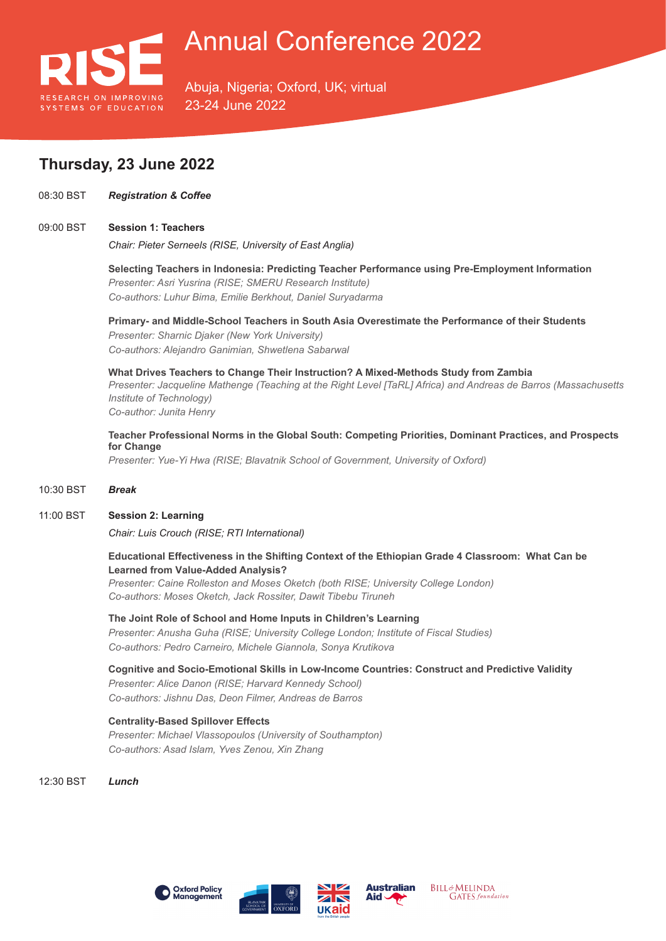

Abuja, Nigeria; Oxford, UK; virtual 23-24 June 2022

# **Thursday, 23 June 2022**

08:30 BST *Registration & Coffee*

#### 09:00 BST **Session 1: Teachers**

*Chair: Pieter Serneels (RISE, University of East Anglia)*

**Selecting Teachers in Indonesia: Predicting Teacher Performance using Pre-Employment Information** *Presenter: Asri Yusrina (RISE; SMERU Research Institute) Co-authors: Luhur Bima, Emilie Berkhout, Daniel Suryadarma*

**Primary- and Middle-School Teachers in South Asia Overestimate the Performance of their Students** *Presenter: Sharnic Djaker (New York University) Co-authors: Alejandro Ganimian, Shwetlena Sabarwal*

**What Drives Teachers to Change Their Instruction? A Mixed-Methods Study from Zambia** *Presenter: Jacqueline Mathenge (Teaching at the Right Level [TaRL] Africa) and Andreas de Barros (Massachusetts Institute of Technology) Co-author: Junita Henry*

**Teacher Professional Norms in the Global South: Competing Priorities, Dominant Practices, and Prospects for Change**

*Presenter: Yue-Yi Hwa (RISE; Blavatnik School of Government, University of Oxford)*

#### 10:30 BST *Break*

#### 11:00 BST **Session 2: Learning**

*Chair: Luis Crouch (RISE; RTI International)*

**Educational Effectiveness in the Shifting Context of the Ethiopian Grade 4 Classroom: What Can be Learned from Value-Added Analysis?**

*Presenter: Caine Rolleston and Moses Oketch (both RISE; University College London) Co-authors: Moses Oketch, Jack Rossiter, Dawit Tibebu Tiruneh*

**The Joint Role of School and Home Inputs in Children's Learning** *Presenter: Anusha Guha (RISE; University College London; Institute of Fiscal Studies) Co-authors: Pedro Carneiro, Michele Giannola, Sonya Krutikova*

**Cognitive and Socio-Emotional Skills in Low-Income Countries: Construct and Predictive Validity** *Presenter: Alice Danon (RISE; Harvard Kennedy School) Co-authors: Jishnu Das, Deon Filmer, Andreas de Barros*

### **Centrality-Based Spillover Effects**

*Presenter: Michael Vlassopoulos (University of Southampton) Co-authors: Asad Islam, Yves Zenou, Xin Zhang*

12:30 BST *Lunch*









**BILL&MELINDA GATES** foundation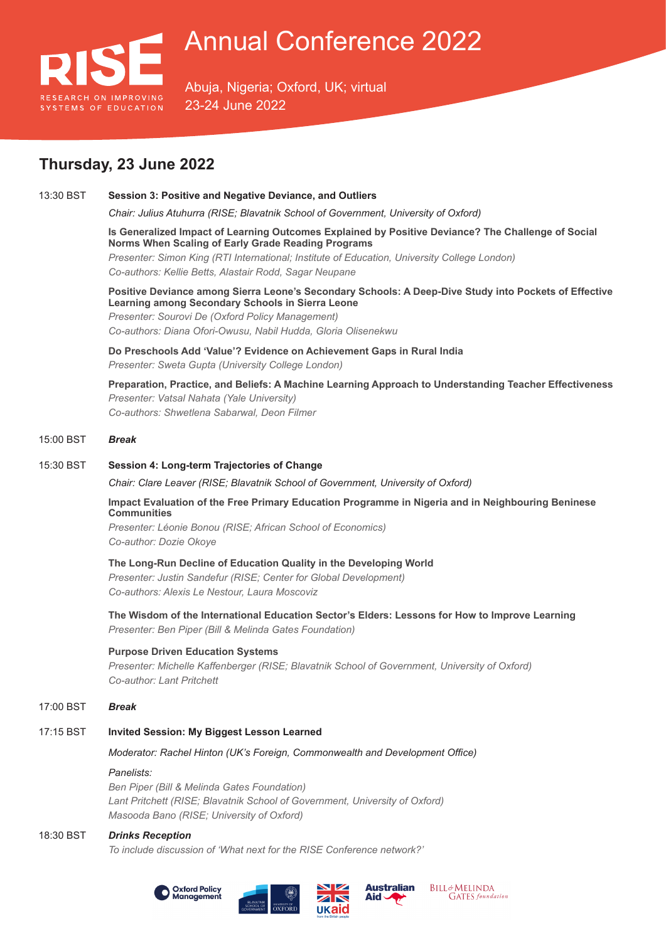

Abuja, Nigeria; Oxford, UK; virtual 23-24 June 2022

# **Thursday, 23 June 2022**

### 13:30 BST **Session 3: Positive and Negative Deviance, and Outliers**

*Chair: Julius Atuhurra (RISE; Blavatnik School of Government, University of Oxford)*

**Is Generalized Impact of Learning Outcomes Explained by Positive Deviance? The Challenge of Social Norms When Scaling of Early Grade Reading Programs** *Presenter: Simon King (RTI International; Institute of Education, University College London) Co-authors: Kellie Betts, Alastair Rodd, Sagar Neupane*

### **Positive Deviance among Sierra Leone's Secondary Schools: A Deep-Dive Study into Pockets of Effective Learning among Secondary Schools in Sierra Leone** *Presenter: Sourovi De (Oxford Policy Management)*

*Co-authors: Diana Ofori-Owusu, Nabil Hudda, Gloria Olisenekwu*

**Do Preschools Add 'Value'? Evidence on Achievement Gaps in Rural India** *Presenter: Sweta Gupta (University College London)*

**Preparation, Practice, and Beliefs: A Machine Learning Approach to Understanding Teacher Effectiveness** *Presenter: Vatsal Nahata (Yale University) Co-authors: Shwetlena Sabarwal, Deon Filmer*

### 15:00 BST *Break*

#### 15:30 BST **Session 4: Long-term Trajectories of Change**

*Chair: Clare Leaver (RISE; Blavatnik School of Government, University of Oxford)*

### **Impact Evaluation of the Free Primary Education Programme in Nigeria and in Neighbouring Beninese Communities**

*Presenter: Léonie Bonou (RISE; African School of Economics) Co-author: Dozie Okoye*

### **The Long-Run Decline of Education Quality in the Developing World**

*Presenter: Justin Sandefur (RISE; Center for Global Development) Co-authors: Alexis Le Nestour, Laura Moscoviz*

**The Wisdom of the International Education Sector's Elders: Lessons for How to Improve Learning** *Presenter: Ben Piper (Bill & Melinda Gates Foundation)*

### **Purpose Driven Education Systems**

*Presenter: Michelle Kaffenberger (RISE; Blavatnik School of Government, University of Oxford) Co-author: Lant Pritchett*

#### 17:00 BST *Break*

### 17:15 BST **Invited Session: My Biggest Lesson Learned**

### *Moderator: Rachel Hinton (UK's Foreign, Commonwealth and Development Office)*

### *Panelists:*

*Ben Piper (Bill & Melinda Gates Foundation) Lant Pritchett (RISE; Blavatnik School of Government, University of Oxford) Masooda Bano (RISE; University of Oxford)*

### 18:30 BST *Drinks Reception*

*To include discussion of 'What next for the RISE Conference network?'*







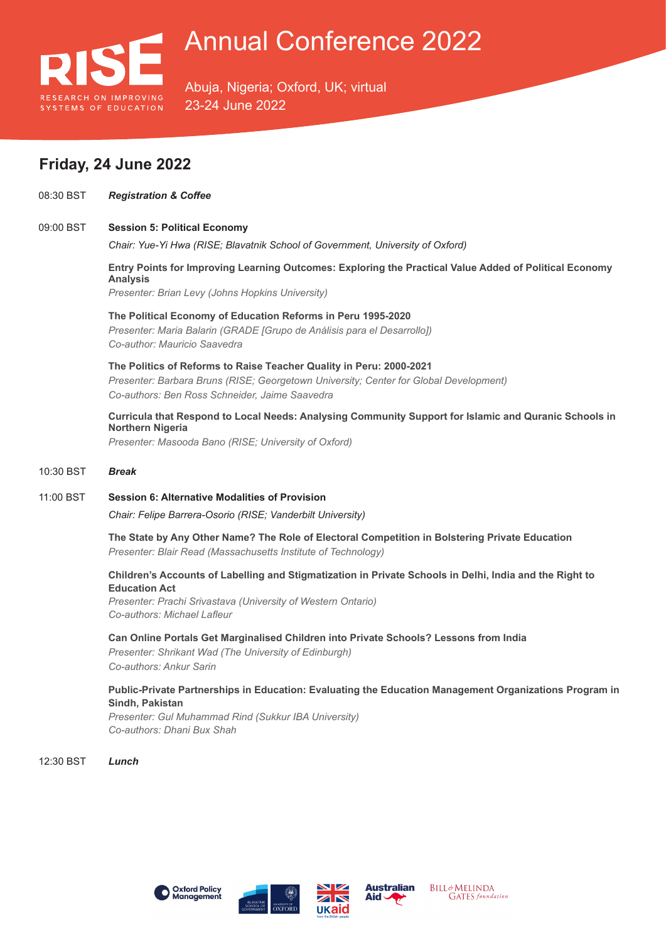

Abuja, Nigeria; Oxford, UK; virtual 23-24 June 2022

## **Friday, 24 June 2022**

08:30 BST *Registration & Coffee*

#### 09:00 BST **Session 5: Political Economy**

*Chair: Yue-Yi Hwa (RISE; Blavatnik School of Government, University of Oxford)*

**Entry Points for Improving Learning Outcomes: Exploring the Practical Value Added of Political Economy Analysis** *Presenter: Brian Levy (Johns Hopkins University)*

**The Political Economy of Education Reforms in Peru 1995-2020** *Presenter: Maria Balarin (GRADE [Grupo de Análisis para el Desarrollo]) Co-author: Mauricio Saavedra*

**The Politics of Reforms to Raise Teacher Quality in Peru: 2000-2021** *Presenter: Barbara Bruns (RISE; Georgetown University; Center for Global Development) Co-authors: Ben Ross Schneider, Jaime Saavedra*

**Curricula that Respond to Local Needs: Analysing Community Support for Islamic and Quranic Schools in Northern Nigeria**

*Presenter: Masooda Bano (RISE; University of Oxford)*

#### 10:30 BST *Break*

11:00 BST **Session 6: Alternative Modalities of Provision**

*Chair: Felipe Barrera-Osorio (RISE; Vanderbilt University)*

**The State by Any Other Name? The Role of Electoral Competition in Bolstering Private Education** *Presenter: Blair Read (Massachusetts Institute of Technology)*

**Children's Accounts of Labelling and Stigmatization in Private Schools in Delhi, India and the Right to Education Act**

*Presenter: Prachi Srivastava (University of Western Ontario) Co-authors: Michael Lafleur*

#### **Can Online Portals Get Marginalised Children into Private Schools? Lessons from India**

*Presenter: Shrikant Wad (The University of Edinburgh) Co-authors: Ankur Sarin*

**Public-Private Partnerships in Education: Evaluating the Education Management Organizations Program in Sindh, Pakistan**

*Presenter: Gul Muhammad Rind (Sukkur IBA University) Co-authors: Dhani Bux Shah*

12:30 BST *Lunch*









**BILL&MELINDA GATES** foundation